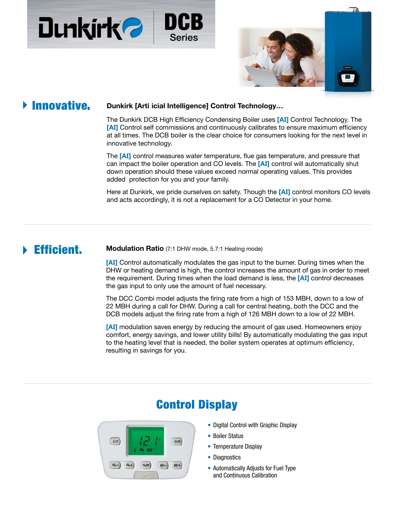



## **Finnovative.**

## **Dunkirk [Artificial Intelligence] Control Technology…**

The Dunkirk DCB High Efficiency Condensing Boiler uses **[AI]** Control Technology. The **[AI]** Control self commissions and continuously calibrates to ensure maximum efficiency at all times. The DCB boiler is the clear choice for consumers looking for the next level in innovative technology.

The **[AI]** control measures water temperature, flue gas temperature, and pressure that can impact the boiler operation and CO levels. The **[AI]** control will automatically shut down operation should these values exceed normal operating levels. This provides added protection for you and your family.

Here at Dunkirk, we pride ourselves on safety. Though the **[AI]** control monitors CO levels and acts accordingly, it is not a replacement for a CO Detector in your home.

**Efficient.** Modulation Ratio (7:1 DHW mode, 5.7:1 Heating mode)

**[AI]** Control automatically modulates the gas input to the burner. During times when the domestic hot water or heating demand is high, the control increases the amount of gas in order to meet the requirement. During times when the load demand is less, the **[AI]** control decreases the gas input to only use the amount of fuel necessary.

The DCC Combi model adjusts the firing rate from a high of 153 MBH, down to a low of 22 MBH during a call for DHW. During a call for central heating, both the DCC and the DCB models adjust the firing rate from a high of 126 MBH down to a low of 22 MBH.

**[AI]** modulation saves energy by reducing the amount of gas used. Homeowners enjoy comfort, energy savings, and lower utility bills! By automatically modulating the gas input to the heating level that is needed, the boiler system operates at optimum efficiency, resulting in savings for you.



# Control Display

- Digital Control with Graphic Display
- Boiler Status
- Temperature Display
- Diagnostics
- Automatically Adjusts for Fuel Type and Continuous Calibration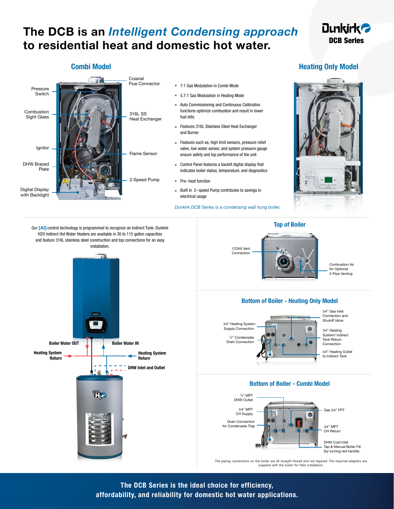# **The DCB is an** *Intelligent Condensing approach* **to residential heat and domestic hot water.**

## **Dunkirk<sup>2</sup> DCB**

## **Combi Model Combi Model Heating Only Model**



Our **[AI]** control technology is programmed to recognize an Indirect Tank. Dunkirk H2O Indirect Hot Water Heaters are available in 30 to 115 gallon capacities and feature 316L stainless steel construction and top connections for an easy installation.

**Boiler Water OUT** | **Boiler Water IN** 

Tk.

**Heating System Return**

**DHW Inlet and Outlet**

**Heating System Return**



Combustion Air for Optional 2-Pipe Venting

### **Bottom of Boiler - Heating Only Model**

3/4" Heating System Supply Connection 1 ⁄2" Condensate Drain Connection

3/4" Gas Inlet Connection and Shutoff Valve

3/4" Heating System/ Indirect Tank Return Connection

3/4" Heating Outlet to Indirect Tank

### **Bottom of Boiler - Combi Model**



The piping connections on the boiler are all straight thread and not tapered. The required adapters are supplied with the boiler for field installation.

**The DCB is the ideal choice for efficiency, affordability, and reliability for domestic hot water applications.**